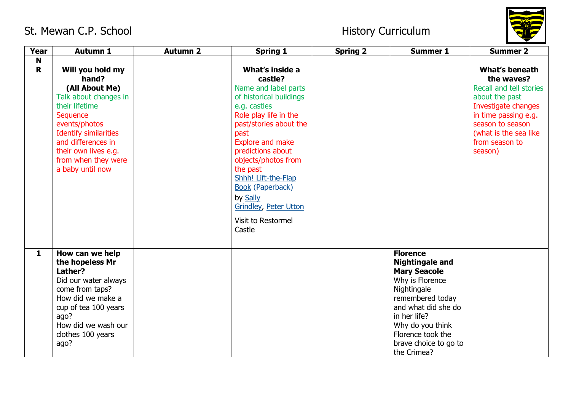

| Year         | <b>Autumn 1</b>                                                                                                                                                                                                                              | <b>Autumn 2</b> | <b>Spring 1</b>                                                                                                                                                                                                                                                                                                                                          | <b>Spring 2</b> | <b>Summer 1</b>                                                                                                                                                                                                                                | <b>Summer 2</b>                                                                                                                                                                                     |
|--------------|----------------------------------------------------------------------------------------------------------------------------------------------------------------------------------------------------------------------------------------------|-----------------|----------------------------------------------------------------------------------------------------------------------------------------------------------------------------------------------------------------------------------------------------------------------------------------------------------------------------------------------------------|-----------------|------------------------------------------------------------------------------------------------------------------------------------------------------------------------------------------------------------------------------------------------|-----------------------------------------------------------------------------------------------------------------------------------------------------------------------------------------------------|
| N            |                                                                                                                                                                                                                                              |                 |                                                                                                                                                                                                                                                                                                                                                          |                 |                                                                                                                                                                                                                                                |                                                                                                                                                                                                     |
| $\mathbf{R}$ | Will you hold my<br>hand?<br>(All About Me)<br>Talk about changes in<br>their lifetime<br>Sequence<br>events/photos<br><b>Identify similarities</b><br>and differences in<br>their own lives e.g.<br>from when they were<br>a baby until now |                 | What's inside a<br>castle?<br>Name and label parts<br>of historical buildings<br>e.g. castles<br>Role play life in the<br>past/stories about the<br>past<br>Explore and make<br>predictions about<br>objects/photos from<br>the past<br>Shhh! Lift-the-Flap<br><b>Book (Paperback)</b><br>by Sally<br><b>Grindley, Peter Utton</b><br>Visit to Restormel |                 |                                                                                                                                                                                                                                                | What's beneath<br>the waves?<br>Recall and tell stories<br>about the past<br>Investigate changes<br>in time passing e.g.<br>season to season<br>(what is the sea like)<br>from season to<br>season) |
| $\mathbf{1}$ | How can we help<br>the hopeless Mr<br>Lather?<br>Did our water always<br>come from taps?<br>How did we make a<br>cup of tea 100 years<br>ago?<br>How did we wash our<br>clothes 100 years<br>ago?                                            |                 | Castle                                                                                                                                                                                                                                                                                                                                                   |                 | <b>Florence</b><br><b>Nightingale and</b><br><b>Mary Seacole</b><br>Why is Florence<br>Nightingale<br>remembered today<br>and what did she do<br>in her life?<br>Why do you think<br>Florence took the<br>brave choice to go to<br>the Crimea? |                                                                                                                                                                                                     |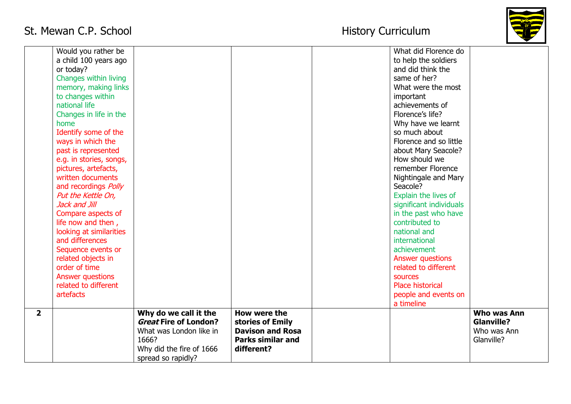# St. Mewan C.P. School and St. Mewan C.P. School



|                | Would you rather be         |                              |                          | What did Florence do    |                   |
|----------------|-----------------------------|------------------------------|--------------------------|-------------------------|-------------------|
|                | a child 100 years ago       |                              |                          | to help the soldiers    |                   |
|                | or today?                   |                              |                          | and did think the       |                   |
|                | Changes within living       |                              |                          | same of her?            |                   |
|                | memory, making links        |                              |                          | What were the most      |                   |
|                | to changes within           |                              |                          | important               |                   |
|                | national life               |                              |                          | achievements of         |                   |
|                | Changes in life in the      |                              |                          | Florence's life?        |                   |
|                | home                        |                              |                          | Why have we learnt      |                   |
|                | Identify some of the        |                              |                          | so much about           |                   |
|                | ways in which the           |                              |                          | Florence and so little  |                   |
|                | past is represented         |                              |                          | about Mary Seacole?     |                   |
|                | e.g. in stories, songs,     |                              |                          | How should we           |                   |
|                | pictures, artefacts,        |                              |                          | remember Florence       |                   |
|                | written documents           |                              |                          | Nightingale and Mary    |                   |
|                | and recordings <i>Polly</i> |                              |                          | Seacole?                |                   |
|                | Put the Kettle On,          |                              |                          | Explain the lives of    |                   |
|                | Jack and Jill               |                              |                          | significant individuals |                   |
|                | Compare aspects of          |                              |                          | in the past who have    |                   |
|                | life now and then,          |                              |                          | contributed to          |                   |
|                | looking at similarities     |                              |                          | national and            |                   |
|                | and differences             |                              |                          | international           |                   |
|                | Sequence events or          |                              |                          | achievement             |                   |
|                | related objects in          |                              |                          | Answer questions        |                   |
|                | order of time               |                              |                          | related to different    |                   |
|                | Answer questions            |                              |                          | sources                 |                   |
|                | related to different        |                              |                          | <b>Place historical</b> |                   |
|                | artefacts                   |                              |                          | people and events on    |                   |
|                |                             |                              |                          | a timeline              |                   |
| 2 <sup>1</sup> |                             | Why do we call it the        | How were the             |                         | Who was Ann       |
|                |                             | <b>Great Fire of London?</b> | stories of Emily         |                         | <b>Glanville?</b> |
|                |                             | What was London like in      | <b>Davison and Rosa</b>  |                         | Who was Ann       |
|                |                             | 1666?                        | <b>Parks similar and</b> |                         | Glanville?        |
|                |                             | Why did the fire of 1666     | different?               |                         |                   |
|                |                             | spread so rapidly?           |                          |                         |                   |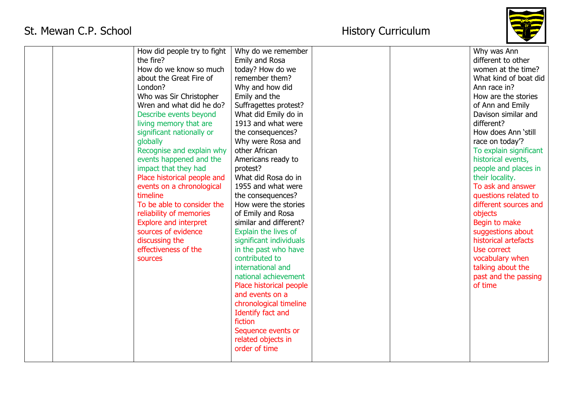

|  | How did people try to fight<br>the fire?<br>How do we know so much<br>about the Great Fire of<br>London?<br>Who was Sir Christopher<br>Wren and what did he do?<br>Describe events beyond<br>living memory that are<br>significant nationally or<br>globally<br>Recognise and explain why<br>events happened and the<br>impact that they had<br>Place historical people and<br>events on a chronological<br>timeline<br>To be able to consider the<br>reliability of memories<br><b>Explore and interpret</b><br>sources of evidence<br>discussing the<br>effectiveness of the | Why do we remember<br>Emily and Rosa<br>today? How do we<br>remember them?<br>Why and how did<br>Emily and the<br>Suffragettes protest?<br>What did Emily do in<br>1913 and what were<br>the consequences?<br>Why were Rosa and<br>other African<br>Americans ready to<br>protest?<br>What did Rosa do in<br>1955 and what were<br>the consequences?<br>How were the stories<br>of Emily and Rosa<br>similar and different?<br>Explain the lives of<br>significant individuals<br>in the past who have |  | Why was Ann<br>different to other<br>women at the time?<br>What kind of boat did<br>Ann race in?<br>How are the stories<br>of Ann and Emily<br>Davison similar and<br>different?<br>How does Ann 'still<br>race on today'?<br>To explain significant<br>historical events,<br>people and places in<br>their locality.<br>To ask and answer<br>questions related to<br>different sources and<br>objects<br>Begin to make<br>suggestions about<br>historical artefacts<br>Use correct |
|--|--------------------------------------------------------------------------------------------------------------------------------------------------------------------------------------------------------------------------------------------------------------------------------------------------------------------------------------------------------------------------------------------------------------------------------------------------------------------------------------------------------------------------------------------------------------------------------|--------------------------------------------------------------------------------------------------------------------------------------------------------------------------------------------------------------------------------------------------------------------------------------------------------------------------------------------------------------------------------------------------------------------------------------------------------------------------------------------------------|--|-------------------------------------------------------------------------------------------------------------------------------------------------------------------------------------------------------------------------------------------------------------------------------------------------------------------------------------------------------------------------------------------------------------------------------------------------------------------------------------|
|  |                                                                                                                                                                                                                                                                                                                                                                                                                                                                                                                                                                                |                                                                                                                                                                                                                                                                                                                                                                                                                                                                                                        |  |                                                                                                                                                                                                                                                                                                                                                                                                                                                                                     |
|  |                                                                                                                                                                                                                                                                                                                                                                                                                                                                                                                                                                                |                                                                                                                                                                                                                                                                                                                                                                                                                                                                                                        |  |                                                                                                                                                                                                                                                                                                                                                                                                                                                                                     |
|  |                                                                                                                                                                                                                                                                                                                                                                                                                                                                                                                                                                                |                                                                                                                                                                                                                                                                                                                                                                                                                                                                                                        |  |                                                                                                                                                                                                                                                                                                                                                                                                                                                                                     |
|  |                                                                                                                                                                                                                                                                                                                                                                                                                                                                                                                                                                                |                                                                                                                                                                                                                                                                                                                                                                                                                                                                                                        |  |                                                                                                                                                                                                                                                                                                                                                                                                                                                                                     |
|  |                                                                                                                                                                                                                                                                                                                                                                                                                                                                                                                                                                                |                                                                                                                                                                                                                                                                                                                                                                                                                                                                                                        |  |                                                                                                                                                                                                                                                                                                                                                                                                                                                                                     |
|  |                                                                                                                                                                                                                                                                                                                                                                                                                                                                                                                                                                                |                                                                                                                                                                                                                                                                                                                                                                                                                                                                                                        |  |                                                                                                                                                                                                                                                                                                                                                                                                                                                                                     |
|  |                                                                                                                                                                                                                                                                                                                                                                                                                                                                                                                                                                                |                                                                                                                                                                                                                                                                                                                                                                                                                                                                                                        |  |                                                                                                                                                                                                                                                                                                                                                                                                                                                                                     |
|  |                                                                                                                                                                                                                                                                                                                                                                                                                                                                                                                                                                                |                                                                                                                                                                                                                                                                                                                                                                                                                                                                                                        |  |                                                                                                                                                                                                                                                                                                                                                                                                                                                                                     |
|  |                                                                                                                                                                                                                                                                                                                                                                                                                                                                                                                                                                                |                                                                                                                                                                                                                                                                                                                                                                                                                                                                                                        |  |                                                                                                                                                                                                                                                                                                                                                                                                                                                                                     |
|  |                                                                                                                                                                                                                                                                                                                                                                                                                                                                                                                                                                                |                                                                                                                                                                                                                                                                                                                                                                                                                                                                                                        |  |                                                                                                                                                                                                                                                                                                                                                                                                                                                                                     |
|  |                                                                                                                                                                                                                                                                                                                                                                                                                                                                                                                                                                                |                                                                                                                                                                                                                                                                                                                                                                                                                                                                                                        |  |                                                                                                                                                                                                                                                                                                                                                                                                                                                                                     |
|  |                                                                                                                                                                                                                                                                                                                                                                                                                                                                                                                                                                                |                                                                                                                                                                                                                                                                                                                                                                                                                                                                                                        |  |                                                                                                                                                                                                                                                                                                                                                                                                                                                                                     |
|  |                                                                                                                                                                                                                                                                                                                                                                                                                                                                                                                                                                                |                                                                                                                                                                                                                                                                                                                                                                                                                                                                                                        |  |                                                                                                                                                                                                                                                                                                                                                                                                                                                                                     |
|  |                                                                                                                                                                                                                                                                                                                                                                                                                                                                                                                                                                                |                                                                                                                                                                                                                                                                                                                                                                                                                                                                                                        |  |                                                                                                                                                                                                                                                                                                                                                                                                                                                                                     |
|  |                                                                                                                                                                                                                                                                                                                                                                                                                                                                                                                                                                                |                                                                                                                                                                                                                                                                                                                                                                                                                                                                                                        |  |                                                                                                                                                                                                                                                                                                                                                                                                                                                                                     |
|  | sources                                                                                                                                                                                                                                                                                                                                                                                                                                                                                                                                                                        | contributed to                                                                                                                                                                                                                                                                                                                                                                                                                                                                                         |  | vocabulary when                                                                                                                                                                                                                                                                                                                                                                                                                                                                     |
|  |                                                                                                                                                                                                                                                                                                                                                                                                                                                                                                                                                                                | international and                                                                                                                                                                                                                                                                                                                                                                                                                                                                                      |  | talking about the                                                                                                                                                                                                                                                                                                                                                                                                                                                                   |
|  |                                                                                                                                                                                                                                                                                                                                                                                                                                                                                                                                                                                | national achievement                                                                                                                                                                                                                                                                                                                                                                                                                                                                                   |  | past and the passing                                                                                                                                                                                                                                                                                                                                                                                                                                                                |
|  |                                                                                                                                                                                                                                                                                                                                                                                                                                                                                                                                                                                | Place historical people                                                                                                                                                                                                                                                                                                                                                                                                                                                                                |  | of time                                                                                                                                                                                                                                                                                                                                                                                                                                                                             |
|  |                                                                                                                                                                                                                                                                                                                                                                                                                                                                                                                                                                                | and events on a                                                                                                                                                                                                                                                                                                                                                                                                                                                                                        |  |                                                                                                                                                                                                                                                                                                                                                                                                                                                                                     |
|  |                                                                                                                                                                                                                                                                                                                                                                                                                                                                                                                                                                                | chronological timeline                                                                                                                                                                                                                                                                                                                                                                                                                                                                                 |  |                                                                                                                                                                                                                                                                                                                                                                                                                                                                                     |
|  |                                                                                                                                                                                                                                                                                                                                                                                                                                                                                                                                                                                | Identify fact and                                                                                                                                                                                                                                                                                                                                                                                                                                                                                      |  |                                                                                                                                                                                                                                                                                                                                                                                                                                                                                     |
|  |                                                                                                                                                                                                                                                                                                                                                                                                                                                                                                                                                                                | fiction                                                                                                                                                                                                                                                                                                                                                                                                                                                                                                |  |                                                                                                                                                                                                                                                                                                                                                                                                                                                                                     |
|  |                                                                                                                                                                                                                                                                                                                                                                                                                                                                                                                                                                                | Sequence events or                                                                                                                                                                                                                                                                                                                                                                                                                                                                                     |  |                                                                                                                                                                                                                                                                                                                                                                                                                                                                                     |
|  |                                                                                                                                                                                                                                                                                                                                                                                                                                                                                                                                                                                | related objects in                                                                                                                                                                                                                                                                                                                                                                                                                                                                                     |  |                                                                                                                                                                                                                                                                                                                                                                                                                                                                                     |
|  |                                                                                                                                                                                                                                                                                                                                                                                                                                                                                                                                                                                |                                                                                                                                                                                                                                                                                                                                                                                                                                                                                                        |  |                                                                                                                                                                                                                                                                                                                                                                                                                                                                                     |
|  |                                                                                                                                                                                                                                                                                                                                                                                                                                                                                                                                                                                | order of time                                                                                                                                                                                                                                                                                                                                                                                                                                                                                          |  |                                                                                                                                                                                                                                                                                                                                                                                                                                                                                     |
|  |                                                                                                                                                                                                                                                                                                                                                                                                                                                                                                                                                                                |                                                                                                                                                                                                                                                                                                                                                                                                                                                                                                        |  |                                                                                                                                                                                                                                                                                                                                                                                                                                                                                     |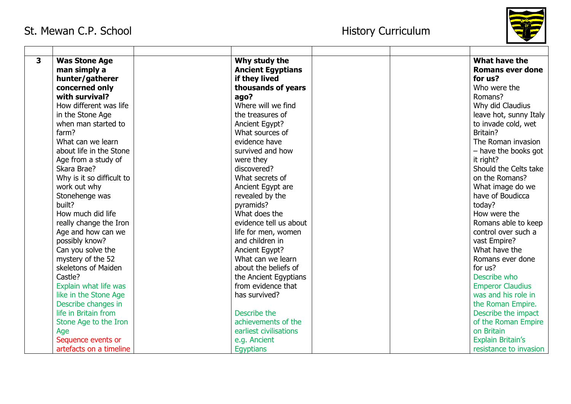

| 3 | <b>Was Stone Age</b>      | Why study the            |  | What have the            |
|---|---------------------------|--------------------------|--|--------------------------|
|   | man simply a              | <b>Ancient Egyptians</b> |  | <b>Romans ever done</b>  |
|   | hunter/gatherer           | if they lived            |  | for us?                  |
|   | concerned only            | thousands of years       |  | Who were the             |
|   | with survival?            | ago?                     |  | Romans?                  |
|   | How different was life    | Where will we find       |  | Why did Claudius         |
|   | in the Stone Age          | the treasures of         |  | leave hot, sunny Italy   |
|   | when man started to       | Ancient Egypt?           |  | to invade cold, wet      |
|   | farm?                     | What sources of          |  | Britain?                 |
|   | What can we learn         | evidence have            |  | The Roman invasion       |
|   | about life in the Stone   | survived and how         |  | - have the books got     |
|   | Age from a study of       | were they                |  | it right?                |
|   | Skara Brae?               | discovered?              |  | Should the Celts take    |
|   | Why is it so difficult to | What secrets of          |  | on the Romans?           |
|   | work out why              | Ancient Egypt are        |  | What image do we         |
|   | Stonehenge was            | revealed by the          |  | have of Boudicca         |
|   | built?                    | pyramids?                |  | today?                   |
|   | How much did life         | What does the            |  | How were the             |
|   | really change the Iron    | evidence tell us about   |  | Romans able to keep      |
|   | Age and how can we        | life for men, women      |  | control over such a      |
|   | possibly know?            | and children in          |  | vast Empire?             |
|   | Can you solve the         | Ancient Egypt?           |  | What have the            |
|   | mystery of the 52         | What can we learn        |  | Romans ever done         |
|   | skeletons of Maiden       | about the beliefs of     |  | for us?                  |
|   | Castle?                   | the Ancient Egyptians    |  | Describe who             |
|   | Explain what life was     | from evidence that       |  | <b>Emperor Claudius</b>  |
|   | like in the Stone Age     | has survived?            |  | was and his role in      |
|   | Describe changes in       |                          |  | the Roman Empire.        |
|   | life in Britain from      | Describe the             |  | Describe the impact      |
|   | Stone Age to the Iron     | achievements of the      |  | of the Roman Empire      |
|   | Age                       | earliest civilisations   |  | on Britain               |
|   | Sequence events or        | e.g. Ancient             |  | <b>Explain Britain's</b> |
|   | artefacts on a timeline   | Egyptians                |  | resistance to invasion   |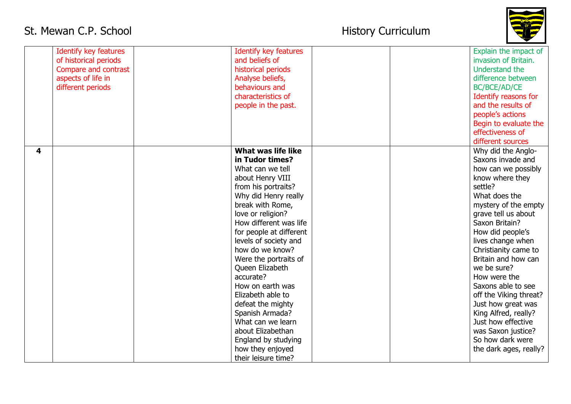

|   | <b>Identify key features</b> | <b>Identify key features</b> |  | Explain the impact of  |
|---|------------------------------|------------------------------|--|------------------------|
|   | of historical periods        | and beliefs of               |  | invasion of Britain.   |
|   | Compare and contrast         | historical periods           |  | Understand the         |
|   | aspects of life in           | Analyse beliefs,             |  | difference between     |
|   | different periods            | behaviours and               |  | BC/BCE/AD/CE           |
|   |                              | characteristics of           |  | Identify reasons for   |
|   |                              | people in the past.          |  | and the results of     |
|   |                              |                              |  | people's actions       |
|   |                              |                              |  | Begin to evaluate the  |
|   |                              |                              |  | effectiveness of       |
|   |                              |                              |  | different sources      |
| 4 |                              | What was life like           |  | Why did the Anglo-     |
|   |                              | in Tudor times?              |  | Saxons invade and      |
|   |                              | What can we tell             |  | how can we possibly    |
|   |                              | about Henry VIII             |  | know where they        |
|   |                              | from his portraits?          |  | settle?                |
|   |                              | Why did Henry really         |  | What does the          |
|   |                              | break with Rome,             |  | mystery of the empty   |
|   |                              | love or religion?            |  | grave tell us about    |
|   |                              | How different was life       |  | Saxon Britain?         |
|   |                              | for people at different      |  | How did people's       |
|   |                              | levels of society and        |  | lives change when      |
|   |                              | how do we know?              |  | Christianity came to   |
|   |                              | Were the portraits of        |  | Britain and how can    |
|   |                              | Queen Elizabeth              |  | we be sure?            |
|   |                              | accurate?                    |  | How were the           |
|   |                              | How on earth was             |  | Saxons able to see     |
|   |                              |                              |  |                        |
|   |                              | Elizabeth able to            |  | off the Viking threat? |
|   |                              | defeat the mighty            |  | Just how great was     |
|   |                              | Spanish Armada?              |  | King Alfred, really?   |
|   |                              | What can we learn            |  | Just how effective     |
|   |                              | about Elizabethan            |  | was Saxon justice?     |
|   |                              | England by studying          |  | So how dark were       |
|   |                              | how they enjoyed             |  | the dark ages, really? |
|   |                              | their leisure time?          |  |                        |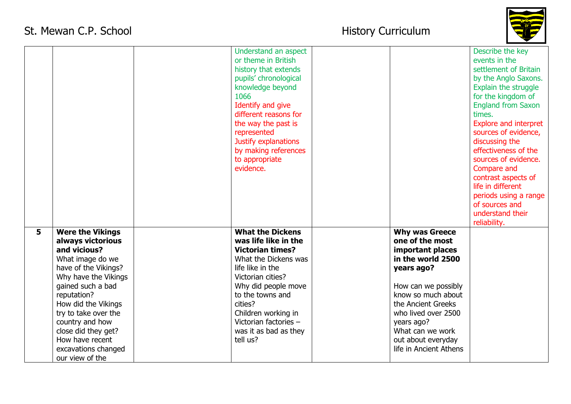

|   |                         | Understand an aspect    |                        | Describe the key             |
|---|-------------------------|-------------------------|------------------------|------------------------------|
|   |                         | or theme in British     |                        | events in the                |
|   |                         | history that extends    |                        | settlement of Britain        |
|   |                         | pupils' chronological   |                        | by the Anglo Saxons.         |
|   |                         | knowledge beyond        |                        | Explain the struggle         |
|   |                         | 1066                    |                        | for the kingdom of           |
|   |                         | Identify and give       |                        | <b>England from Saxon</b>    |
|   |                         | different reasons for   |                        | times.                       |
|   |                         | the way the past is     |                        | <b>Explore and interpret</b> |
|   |                         | represented             |                        | sources of evidence,         |
|   |                         | Justify explanations    |                        | discussing the               |
|   |                         | by making references    |                        | effectiveness of the         |
|   |                         | to appropriate          |                        | sources of evidence.         |
|   |                         | evidence.               |                        | Compare and                  |
|   |                         |                         |                        | contrast aspects of          |
|   |                         |                         |                        | life in different            |
|   |                         |                         |                        | periods using a range        |
|   |                         |                         |                        | of sources and               |
|   |                         |                         |                        |                              |
|   |                         |                         |                        | understand their             |
|   |                         |                         |                        | reliability.                 |
| 5 | <b>Were the Vikings</b> | <b>What the Dickens</b> | <b>Why was Greece</b>  |                              |
|   | always victorious       | was life like in the    | one of the most        |                              |
|   | and vicious?            | <b>Victorian times?</b> | important places       |                              |
|   | What image do we        | What the Dickens was    | in the world 2500      |                              |
|   | have of the Vikings?    | life like in the        | years ago?             |                              |
|   | Why have the Vikings    | Victorian cities?       |                        |                              |
|   | gained such a bad       | Why did people move     | How can we possibly    |                              |
|   | reputation?             | to the towns and        | know so much about     |                              |
|   | How did the Vikings     | cities?                 | the Ancient Greeks     |                              |
|   | try to take over the    | Children working in     | who lived over 2500    |                              |
|   | country and how         | Victorian factories -   | years ago?             |                              |
|   | close did they get?     | was it as bad as they   | What can we work       |                              |
|   | How have recent         | tell us?                | out about everyday     |                              |
|   | excavations changed     |                         | life in Ancient Athens |                              |
|   | our view of the         |                         |                        |                              |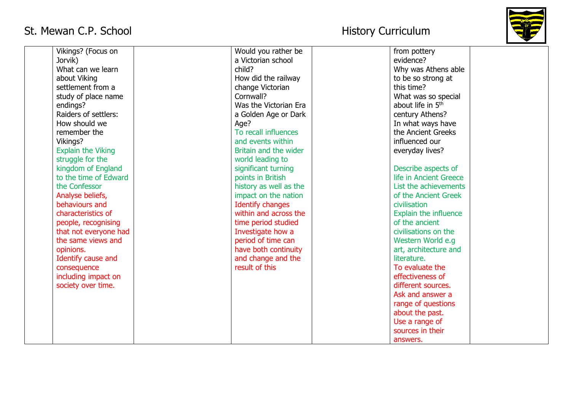

| Vikings? (Focus on        | Would you rather be     | from pottery                  |
|---------------------------|-------------------------|-------------------------------|
| Jorvik)                   | a Victorian school      | evidence?                     |
| What can we learn         | child?                  | Why was Athens able           |
| about Viking              | How did the railway     | to be so strong at            |
| settlement from a         | change Victorian        | this time?                    |
| study of place name       | Cornwall?               | What was so special           |
| endings?                  | Was the Victorian Era   | about life in 5 <sup>th</sup> |
| Raiders of settlers:      | a Golden Age or Dark    | century Athens?               |
| How should we             | Age?                    | In what ways have             |
| remember the              | To recall influences    | the Ancient Greeks            |
| Vikings?                  | and events within       | influenced our                |
| <b>Explain the Viking</b> | Britain and the wider   | everyday lives?               |
| struggle for the          | world leading to        |                               |
| kingdom of England        | significant turning     | Describe aspects of           |
| to the time of Edward     | points in British       | life in Ancient Greece        |
| the Confessor             | history as well as the  | List the achievements         |
| Analyse beliefs,          | impact on the nation    | of the Ancient Greek          |
| behaviours and            | <b>Identify changes</b> | civilisation                  |
| characteristics of        | within and across the   | <b>Explain the influence</b>  |
| people, recognising       | time period studied     | of the ancient                |
| that not everyone had     | Investigate how a       | civilisations on the          |
| the same views and        | period of time can      | Western World e.g             |
| opinions.                 | have both continuity    | art, architecture and         |
| Identify cause and        | and change and the      | literature.                   |
| consequence               | result of this          | To evaluate the               |
| including impact on       |                         | effectiveness of              |
| society over time.        |                         | different sources.            |
|                           |                         | Ask and answer a              |
|                           |                         | range of questions            |
|                           |                         | about the past.               |
|                           |                         | Use a range of                |
|                           |                         | sources in their              |
|                           |                         | answers.                      |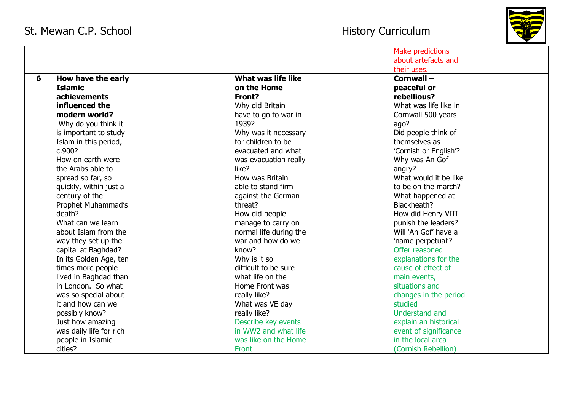

|   |                         |                        | <b>Make predictions</b> |
|---|-------------------------|------------------------|-------------------------|
|   |                         |                        | about artefacts and     |
|   |                         |                        | their uses.             |
| 6 | How have the early      | What was life like     | Cornwall-               |
|   | <b>Islamic</b>          | on the Home            | peaceful or             |
|   | achievements            | Front?                 | rebellious?             |
|   | influenced the          | Why did Britain        | What was life like in   |
|   | modern world?           | have to go to war in   | Cornwall 500 years      |
|   | Why do you think it     | 1939?                  | ago?                    |
|   | is important to study   | Why was it necessary   | Did people think of     |
|   | Islam in this period,   | for children to be     | themselves as           |
|   | c.900?                  | evacuated and what     | 'Cornish or English'?   |
|   | How on earth were       | was evacuation really  | Why was An Gof          |
|   | the Arabs able to       | like?                  | angry?                  |
|   | spread so far, so       | How was Britain        | What would it be like   |
|   | quickly, within just a  | able to stand firm     | to be on the march?     |
|   | century of the          | against the German     | What happened at        |
|   | Prophet Muhammad's      | threat?                | Blackheath?             |
|   | death?                  | How did people         | How did Henry VIII      |
|   | What can we learn       | manage to carry on     | punish the leaders?     |
|   | about Islam from the    | normal life during the | Will 'An Gof' have a    |
|   | way they set up the     | war and how do we      | 'name perpetual'?       |
|   | capital at Baghdad?     | know?                  | Offer reasoned          |
|   | In its Golden Age, ten  | Why is it so           | explanations for the    |
|   | times more people       | difficult to be sure   | cause of effect of      |
|   | lived in Baghdad than   | what life on the       | main events,            |
|   | in London. So what      | Home Front was         | situations and          |
|   | was so special about    | really like?           | changes in the period   |
|   | it and how can we       | What was VE day        | studied                 |
|   | possibly know?          | really like?           | Understand and          |
|   | Just how amazing        | Describe key events    | explain an historical   |
|   | was daily life for rich | in WW2 and what life   | event of significance   |
|   | people in Islamic       | was like on the Home   | in the local area       |
|   | cities?                 | Front                  | (Cornish Rebellion)     |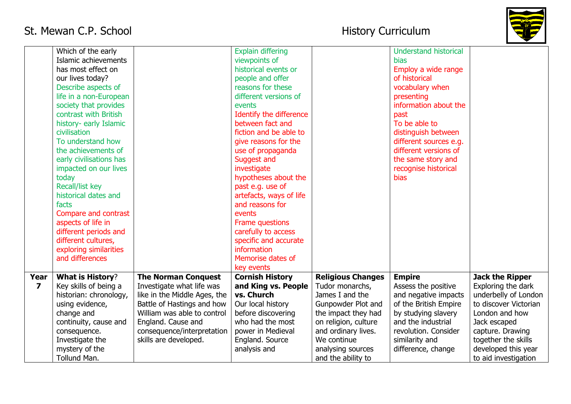

|                         | Which of the early      |                              | <b>Explain differing</b> |                          | <b>Understand historical</b> |                        |
|-------------------------|-------------------------|------------------------------|--------------------------|--------------------------|------------------------------|------------------------|
|                         | Islamic achievements    |                              | viewpoints of            |                          | <b>bias</b>                  |                        |
|                         | has most effect on      |                              | historical events or     |                          | Employ a wide range          |                        |
|                         | our lives today?        |                              | people and offer         |                          | of historical                |                        |
|                         | Describe aspects of     |                              | reasons for these        |                          | vocabulary when              |                        |
|                         | life in a non-European  |                              | different versions of    |                          | presenting                   |                        |
|                         | society that provides   |                              | events                   |                          | information about the        |                        |
|                         | contrast with British   |                              | Identify the difference  |                          | past                         |                        |
|                         | history- early Islamic  |                              | between fact and         |                          | To be able to                |                        |
|                         | civilisation            |                              | fiction and be able to   |                          | distinguish between          |                        |
|                         | To understand how       |                              | give reasons for the     |                          | different sources e.g.       |                        |
|                         | the achievements of     |                              | use of propaganda        |                          | different versions of        |                        |
|                         | early civilisations has |                              | Suggest and              |                          | the same story and           |                        |
|                         | impacted on our lives   |                              | investigate              |                          | recognise historical         |                        |
|                         | today                   |                              | hypotheses about the     |                          | <b>bias</b>                  |                        |
|                         | Recall/list key         |                              | past e.g. use of         |                          |                              |                        |
|                         | historical dates and    |                              | artefacts, ways of life  |                          |                              |                        |
|                         | facts                   |                              | and reasons for          |                          |                              |                        |
|                         | Compare and contrast    |                              | events                   |                          |                              |                        |
|                         | aspects of life in      |                              | Frame questions          |                          |                              |                        |
|                         | different periods and   |                              | carefully to access      |                          |                              |                        |
|                         | different cultures,     |                              | specific and accurate    |                          |                              |                        |
|                         | exploring similarities  |                              | information              |                          |                              |                        |
|                         | and differences         |                              | Memorise dates of        |                          |                              |                        |
|                         |                         |                              | key events               |                          |                              |                        |
| Year                    | <b>What is History?</b> | <b>The Norman Conquest</b>   | <b>Cornish History</b>   | <b>Religious Changes</b> | <b>Empire</b>                | <b>Jack the Ripper</b> |
| $\overline{\mathbf{z}}$ | Key skills of being a   | Investigate what life was    | and King vs. People      | Tudor monarchs,          | Assess the positive          | Exploring the dark     |
|                         | historian: chronology,  | like in the Middle Ages, the | vs. Church               | James I and the          | and negative impacts         | underbelly of London   |
|                         | using evidence,         | Battle of Hastings and how   | Our local history        | Gunpowder Plot and       | of the British Empire        | to discover Victorian  |
|                         | change and              | William was able to control  | before discovering       | the impact they had      | by studying slavery          | London and how         |
|                         | continuity, cause and   | England. Cause and           | who had the most         | on religion, culture     | and the industrial           | Jack escaped           |
|                         | consequence.            | consequence/interpretation   | power in Medieval        | and ordinary lives.      | revolution. Consider         | capture. Drawing       |
|                         | Investigate the         | skills are developed.        | England. Source          | We continue              | similarity and               | together the skills    |
|                         | mystery of the          |                              | analysis and             | analysing sources        | difference, change           | developed this year    |
|                         | Tollund Man.            |                              |                          | and the ability to       |                              | to aid investigation   |